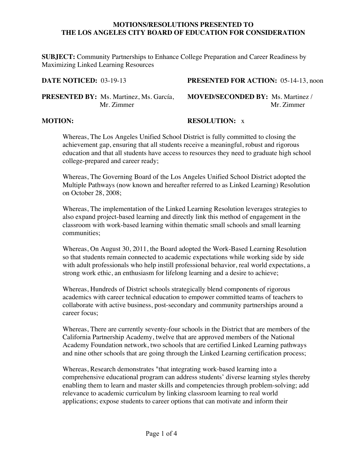## **MOTIONS/RESOLUTIONS PRESENTED TO THE LOS ANGELES CITY BOARD OF EDUCATION FOR CONSIDERATION**

**SUBJECT:** Community Partnerships to Enhance College Preparation and Career Readiness by Maximizing Linked Learning Resources

**DATE NOTICED:** 03-19-13 **PRESENTED FOR ACTION:** 05-14-13, noon

**PRESENTED BY:** Ms. Martinez, Ms. García, **MOVED/SECONDED BY:** Ms. Martinez /

**Mr. Zimmer** Mr. Zimmer

## **MOTION: RESOLUTION:** x

Whereas, The Los Angeles Unified School District is fully committed to closing the achievement gap, ensuring that all students receive a meaningful, robust and rigorous education and that all students have access to resources they need to graduate high school college-prepared and career ready;

Whereas, The Governing Board of the Los Angeles Unified School District adopted the Multiple Pathways (now known and hereafter referred to as Linked Learning) Resolution on October 28, 2008;

Whereas, The implementation of the Linked Learning Resolution leverages strategies to also expand project-based learning and directly link this method of engagement in the classroom with work-based learning within thematic small schools and small learning communities;

Whereas, On August 30, 2011, the Board adopted the Work-Based Learning Resolution so that students remain connected to academic expectations while working side by side with adult professionals who help instill professional behavior, real world expectations, a strong work ethic, an enthusiasm for lifelong learning and a desire to achieve;

Whereas, Hundreds of District schools strategically blend components of rigorous academics with career technical education to empower committed teams of teachers to collaborate with active business, post-secondary and community partnerships around a career focus;

Whereas, There are currently seventy-four schools in the District that are members of the California Partnership Academy, twelve that are approved members of the National Academy Foundation network, two schools that are certified Linked Learning pathways and nine other schools that are going through the Linked Learning certification process;

Whereas, Research demonstrates "that integrating work-based learning into a comprehensive educational program can address students' diverse learning styles thereby enabling them to learn and master skills and competencies through problem-solving; add relevance to academic curriculum by linking classroom learning to real world applications; expose students to career options that can motivate and inform their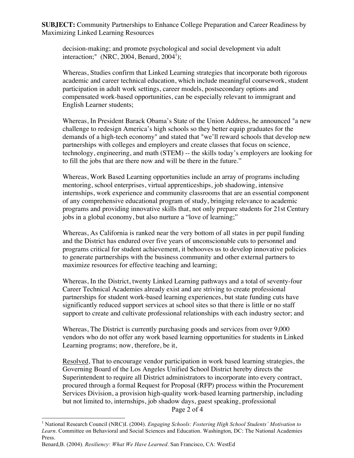**SUBJECT:** Community Partnerships to Enhance College Preparation and Career Readiness by Maximizing Linked Learning Resources

decision-making; and promote psychological and social development via adult interaction;"  $(NRC, 2004, \text{Benard}, 2004^{\text{T}});$ 

Whereas, Studies confirm that Linked Learning strategies that incorporate both rigorous academic and career technical education, which include meaningful coursework, student participation in adult work settings, career models, postsecondary options and compensated work-based opportunities, can be especially relevant to immigrant and English Learner students;

Whereas, In President Barack Obama's State of the Union Address, he announced "a new challenge to redesign America's high schools so they better equip graduates for the demands of a high-tech economy" and stated that "we'll reward schools that develop new partnerships with colleges and employers and create classes that focus on science, technology, engineering, and math (STEM) -- the skills today's employers are looking for to fill the jobs that are there now and will be there in the future."

Whereas, Work Based Learning opportunities include an array of programs including mentoring, school enterprises, virtual apprenticeships, job shadowing, intensive internships, work experience and community classrooms that are an essential component of any comprehensive educational program of study, bringing relevance to academic programs and providing innovative skills that, not only prepare students for 21st Century jobs in a global economy, but also nurture a "love of learning;"

Whereas, As California is ranked near the very bottom of all states in per pupil funding and the District has endured over five years of unconscionable cuts to personnel and programs critical for student achievement, it behooves us to develop innovative policies to generate partnerships with the business community and other external partners to maximize resources for effective teaching and learning;

Whereas, In the District, twenty Linked Learning pathways and a total of seventy-four Career Technical Academies already exist and are striving to create professional partnerships for student work-based learning experiences, but state funding cuts have significantly reduced support services at school sites so that there is little or no staff support to create and cultivate professional relationships with each industry sector; and

Whereas, The District is currently purchasing goods and services from over 9,000 vendors who do not offer any work based learning opportunities for students in Linked Learning programs; now, therefore, be it,

Resolved, That to encourage vendor participation in work based learning strategies, the Governing Board of the Los Angeles Unified School District hereby directs the Superintendent to require all District administrators to incorporate into every contract, procured through a formal Request for Proposal (RFP) process within the Procurement Services Division, a provision high-quality work-based learning partnership, including but not limited to, internships, job shadow days, guest speaking, professional Page 2 of 4

 <sup>1</sup> National Research Council (NRC)I. (2004). *Engaging Schools: Fostering High School Students' Motivation to Learn*. Committee on Behavioral and Social Sciences and Education. Washington, DC: The National Academies Press.

Benard,B. (2004). *Resiliency: What We Have Learned*. San Francisco, CA: WestEd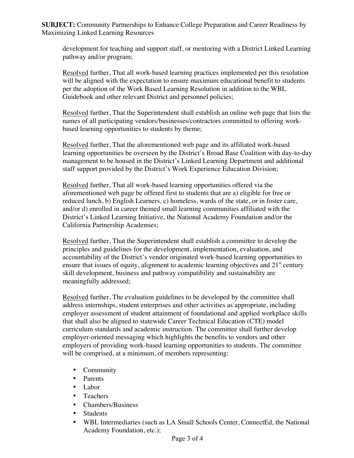**SUBJECT:** Community Partnerships to Enhance College Preparation and Career Readiness by Maximizing Linked Learning Resources

development for teaching and support staff, or mentoring with a District Linked Learning pathway and/or program;

Resolved further, That all work-based learning practices implemented per this resolution will be aligned with the expectation to ensure maximum educational benefit to students per the adoption of the Work Based Learning Resolution in addition to the WBL Guidebook and other relevant District and personnel policies;

Resolved further, That the Superintendent shall establish an online web page that lists the names of all participating vendors/businesses/contractors committed to offering workbased learning opportunities to students by theme;

Resolved further, That the aforementioned web page and its affiliated work-based learning opportunities be overseen by the District's Broad Base Coalition with day-to-day management to be housed in the District's Linked Learning Department and additional staff support provided by the District's Work Experience Education Division;

Resolved further, That all work-based learning opportunities offered via the aforementioned web page be offered first to students that are a) eligible for free or reduced lunch, b) English Learners, c) homeless, wards of the state, or in foster care, and/or d) enrolled in career themed small learning communities affiliated with the District's Linked Learning Initiative, the National Academy Foundation and/or the California Partnership Academies;

Resolved further, That the Superintendent shall establish a committee to develop the principles and guidelines for the development, implementation, evaluation, and accountability of the District's vendor originated work-based learning opportunities to ensure that issues of equity, alignment to academic learning objectives and  $21<sup>st</sup>$  century skill development, business and pathway compatibility and sustainability are meaningfully addressed;

Resolved further, The evaluation guidelines to be developed by the committee shall address internships, student enterprises and other activities as appropriate, including employer assessment of student attainment of foundational and applied workplace skills that shall also be aligned to statewide Career Technical Education (CTE) model curriculum standards and academic instruction. The committee shall further develop employer-oriented messaging which highlights the benefits to vendors and other employers of providing work-based learning opportunities to students. The committee will be comprised, at a minimum, of members representing:

- Community
- Parents
- Labor
- Teachers
- Chambers/Business
- Students
- WBL Intermediaries (such as LA Small Schools Center, ConnectEd, the National Academy Foundation, etc.);